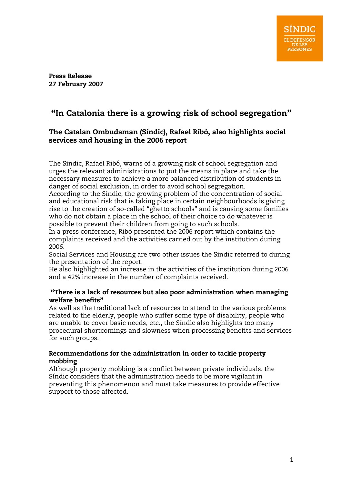#### Press Release 27 February 2007

## "In Catalonia there is a growing risk of school segregation"

### The Catalan Ombudsman (Síndic), Rafael Ribó, also highlights social services and housing in the 2006 report

The Síndic, Rafael Ribó, warns of a growing risk of school segregation and urges the relevant administrations to put the means in place and take the necessary measures to achieve a more balanced distribution of students in danger of social exclusion, in order to avoid school segregation.

According to the Síndic, the growing problem of the concentration of social and educational risk that is taking place in certain neighbourhoods is giving rise to the creation of so-called "ghetto schools" and is causing some families who do not obtain a place in the school of their choice to do whatever is possible to prevent their children from going to such schools.

In a press conference, Ribó presented the 2006 report which contains the complaints received and the activities carried out by the institution during 2006.

Social Services and Housing are two other issues the Síndic referred to during the presentation of the report.

He also highlighted an increase in the activities of the institution during 2006 and a 42% increase in the number of complaints received.

### "There is a lack of resources but also poor administration when managing welfare benefits"

As well as the traditional lack of resources to attend to the various problems related to the elderly, people who suffer some type of disability, people who are unable to cover basic needs, etc., the Síndic also highlights too many procedural shortcomings and slowness when processing benefits and services for such groups.

### Recommendations for the administration in order to tackle property mobbing

Although property mobbing is a conflict between private individuals, the Síndic considers that the administration needs to be more vigilant in preventing this phenomenon and must take measures to provide effective support to those affected.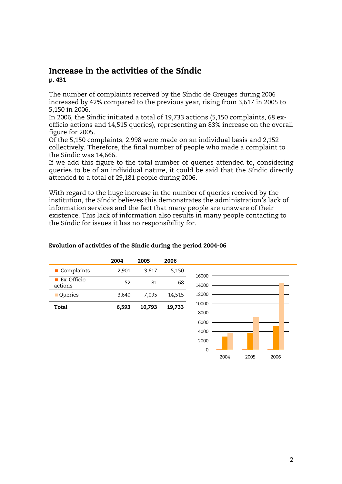### Increase in the activities of the Síndic p. 431

The number of complaints received by the Síndic de Greuges during 2006 increased by 42% compared to the previous year, rising from 3,617 in 2005 to 5,150 in 2006.

In 2006, the Síndic initiated a total of 19,733 actions (5,150 complaints, 68 exofficio actions and 14,515 queries), representing an 83% increase on the overall figure for 2005.

Of the 5,150 complaints, 2,998 were made on an individual basis and 2,152 collectively. Therefore, the final number of people who made a complaint to the Síndic was 14,666.

If we add this figure to the total number of queries attended to, considering queries to be of an individual nature, it could be said that the Síndic directly attended to a total of 29,181 people during 2006.

With regard to the huge increase in the number of queries received by the institution, the Síndic believes this demonstrates the administration's lack of information services and the fact that many people are unaware of their existence. This lack of information also results in many people contacting to the Síndic for issues it has no responsibility for.

|                              | 2004  | 2005   | 2006   |       |  |
|------------------------------|-------|--------|--------|-------|--|
| Complaints                   | 2,901 | 3,617  | 5,150  | 16000 |  |
| <b>Ex-Officio</b><br>actions | 52    | 81     | 68     | 14000 |  |
| Queries                      | 3,640 | 7,095  | 14,515 | 12000 |  |
| <b>Total</b>                 | 6,593 | 10,793 | 19,733 | 10000 |  |
|                              |       |        |        | 8000  |  |
|                              |       |        |        | 6000  |  |
|                              |       |        |        | 4000  |  |
|                              |       |        |        | 2000  |  |
|                              |       |        |        | 0     |  |

#### Evolution of activities of the Síndic during the period 2004-06

2004 2005 2006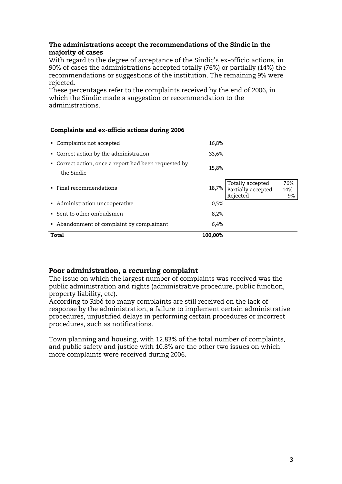### The administrations accept the recommendations of the Síndic in the majority of cases

With regard to the degree of acceptance of the Síndic's ex-officio actions, in 90% of cases the administrations accepted totally (76%) or partially (14%) the recommendations or suggestions of the institution. The remaining 9% were rejected.

These percentages refer to the complaints received by the end of 2006, in which the Síndic made a suggestion or recommendation to the administrations.

#### Complaints and ex-officio actions during 2006

| Total                                                               | 100,00% |                                                          |                  |
|---------------------------------------------------------------------|---------|----------------------------------------------------------|------------------|
| • Abandonment of complaint by complainant                           | 6,4%    |                                                          |                  |
| • Sent to other ombudsmen                                           | 8,2%    |                                                          |                  |
| • Administration uncooperative                                      | 0,5%    |                                                          |                  |
| $\blacksquare$ Final recommendations                                |         | 18,7% Totally accepted<br>Partially accepted<br>Rejected | 76%<br>14%<br>9% |
| • Correct action, once a report had been requested by<br>the Síndic | 15,8%   |                                                          |                  |
| • Correct action by the administration                              | 33,6%   |                                                          |                  |
| • Complaints not accepted                                           | 16,8%   |                                                          |                  |

### Poor administration, a recurring complaint

The issue on which the largest number of complaints was received was the public administration and rights (administrative procedure, public function, property liability, etc).

According to Ribó too many complaints are still received on the lack of response by the administration, a failure to implement certain administrative procedures, unjustified delays in performing certain procedures or incorrect procedures, such as notifications.

Town planning and housing, with 12.83% of the total number of complaints, and public safety and justice with 10.8% are the other two issues on which more complaints were received during 2006.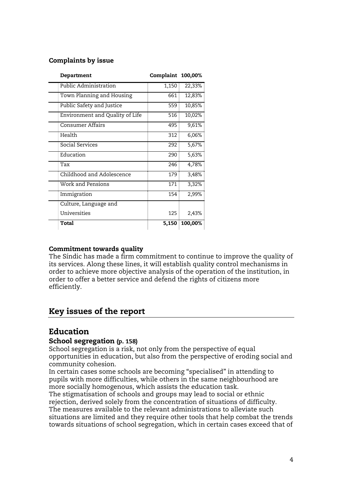### Complaints by issue

| Department                      | Complaint 100,00% |         |
|---------------------------------|-------------------|---------|
| Public Administration           | 1,150             | 22,33%  |
| Town Planning and Housing       | 661               | 12,83%  |
| Public Safety and Justice       | 559               | 10,85%  |
| Environment and Quality of Life | 516               | 10,02%  |
| <b>Consumer Affairs</b>         | 495               | 9,61%   |
| Health                          | 312               | 6,06%   |
| Social Services                 | 292               | 5,67%   |
| Education                       | 290               | 5,63%   |
| Tax                             | 246               | 4,78%   |
| Childhood and Adolescence       | 179               | 3,48%   |
| Work and Pensions               | 171               | 3,32%   |
| Immigration                     | 154               | 2,99%   |
| Culture, Language and           |                   |         |
| Universities                    | 125               | 2,43%   |
| Total                           | 5,150             | 100,00% |

### Commitment towards quality

The Síndic has made a firm commitment to continue to improve the quality of its services. Along these lines, it will establish quality control mechanisms in order to achieve more objective analysis of the operation of the institution, in order to offer a better service and defend the rights of citizens more efficiently.

## Key issues of the report

## Education

### School segregation (p. 158)

School segregation is a risk, not only from the perspective of equal opportunities in education, but also from the perspective of eroding social and community cohesion.

In certain cases some schools are becoming "specialised" in attending to pupils with more difficulties, while others in the same neighbourhood are more socially homogenous, which assists the education task.

The stigmatisation of schools and groups may lead to social or ethnic rejection, derived solely from the concentration of situations of difficulty. The measures available to the relevant administrations to alleviate such situations are limited and they require other tools that help combat the trends towards situations of school segregation, which in certain cases exceed that of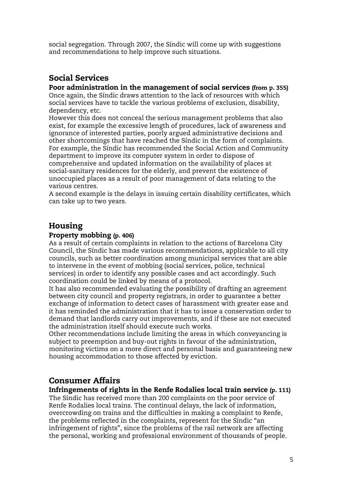social segregation. Through 2007, the Síndic will come up with suggestions and recommendations to help improve such situations.

## Social Services

### Poor administration in the management of social services (from p. 355)

Once again, the Síndic draws attention to the lack of resources with which social services have to tackle the various problems of exclusion, disability, dependency, etc.

However this does not conceal the serious management problems that also exist, for example the excessive length of procedures, lack of awareness and ignorance of interested parties, poorly argued administrative decisions and other shortcomings that have reached the Síndic in the form of complaints. For example, the Síndic has recommended the Social Action and Community department to improve its computer system in order to dispose of comprehensive and updated information on the availability of places at social-sanitary residences for the elderly, and prevent the existence of unoccupied places as a result of poor management of data relating to the various centres.

A second example is the delays in issuing certain disability certificates, which can take up to two years.

## Housing

### Property mobbing (p. 406)

As a result of certain complaints in relation to the actions of Barcelona City Council, the Síndic has made various recommendations, applicable to all city councils, such as better coordination among municipal services that are able to intervene in the event of mobbing (social services, police, technical services) in order to identify any possible cases and act accordingly. Such coordination could be linked by means of a protocol.

It has also recommended evaluating the possibility of drafting an agreement between city council and property registrars, in order to guarantee a better exchange of information to detect cases of harassment with greater ease and it has reminded the administration that it has to issue a conservation order to demand that landlords carry out improvements, and if these are not executed the administration itself should execute such works.

Other recommendations include limiting the areas in which conveyancing is subject to preemption and buy-out rights in favour of the administration, monitoring victims on a more direct and personal basis and guaranteeing new housing accommodation to those affected by eviction.

## Consumer Affairs

### Infringements of rights in the Renfe Rodalies local train service (p. 111)

The Síndic has received more than 200 complaints on the poor service of Renfe Rodalies local trains. The continual delays, the lack of information, overcrowding on trains and the difficulties in making a complaint to Renfe, the problems reflected in the complaints, represent for the Síndic "an infringement of rights", since the problems of the rail network are affecting the personal, working and professional environment of thousands of people.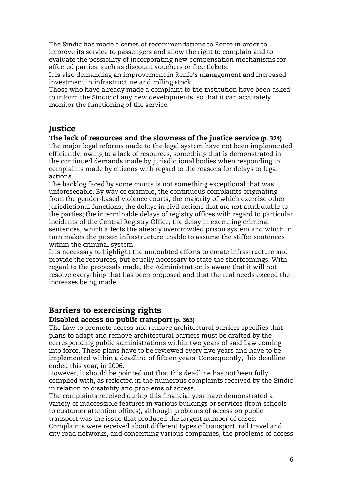The Síndic has made a series of recommendations to Renfe in order to improve its service to passengers and allow the right to complain and to evaluate the possibility of incorporating new compensation mechanisms for affected parties, such as discount vouchers or free tickets.

It is also demanding an improvement in Renfe's management and increased investment in infrastructure and rolling stock.

Those who have already made a complaint to the institution have been asked to inform the Síndic of any new developments, so that it can accurately monitor the functioning of the service.

## **Justice**

### The lack of resources and the slowness of the justice service (p. 324)

The major legal reforms made to the legal system have not been implemented efficiently, owing to a lack of resources, something that is demonstrated in the continued demands made by jurisdictional bodies when responding to complaints made by citizens with regard to the reasons for delays to legal actions.

The backlog faced by some courts is not something exceptional that was unforeseeable. By way of example, the continuous complaints originating from the gender-based violence courts, the majority of which exercise other jurisdictional functions; the delays in civil actions that are not attributable to the parties; the interminable delays of registry offices with regard to particular incidents of the Central Registry Office; the delay in executing criminal sentences, which affects the already overcrowded prison system and which in turn makes the prison infrastructure unable to assume the stiffer sentences within the criminal system.

It is necessary to highlight the undoubted efforts to create infrastructure and provide the resources, but equally necessary to state the shortcomings. With regard to the proposals made, the Administration is aware that it will not resolve everything that has been proposed and that the real needs exceed the increases being made.

# Barriers to exercising rights

### Disabled access on public transport (p. 363)

The Law to promote access and remove architectural barriers specifies that plans to adapt and remove architectural barriers must be drafted by the corresponding public administrations within two years of said Law coming into force. These plans have to be reviewed every five years and have to be implemented within a deadline of fifteen years. Consequently, this deadline ended this year, in 2006.

However, it should be pointed out that this deadline has not been fully complied with, as reflected in the numerous complaints received by the Síndic in relation to disability and problems of access.

The complaints received during this financial year have demonstrated a variety of inaccessible features in various buildings or services (from schools to customer attention offices), although problems of access on public transport was the issue that produced the largest number of cases.

Complaints were received about different types of transport, rail travel and city road networks, and concerning various companies, the problems of access